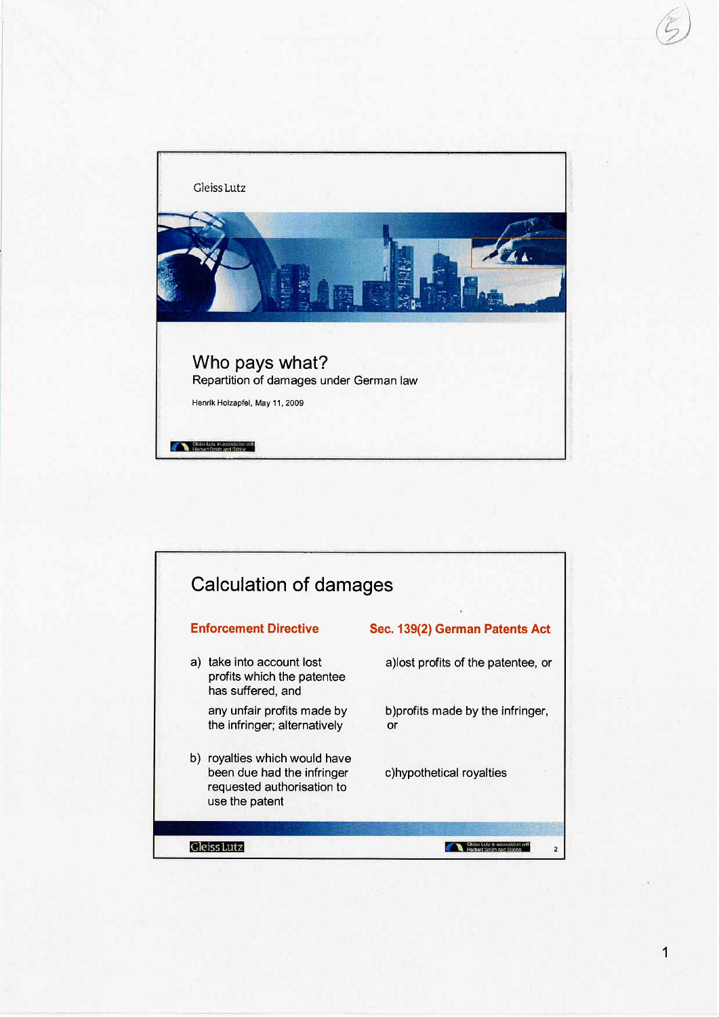



 $\bigodot$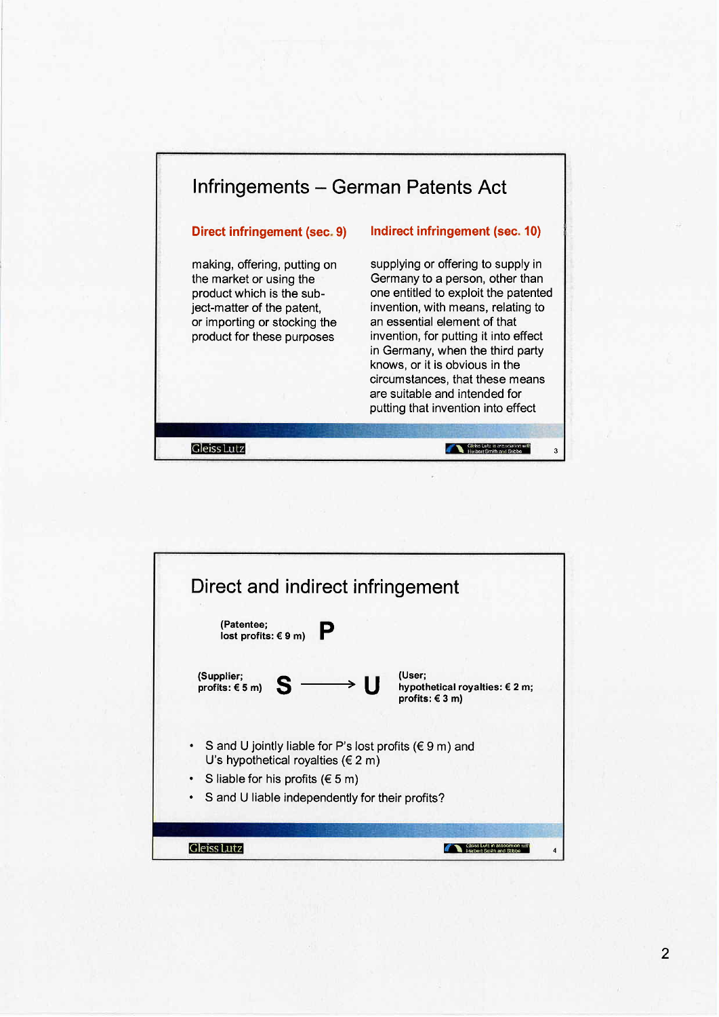

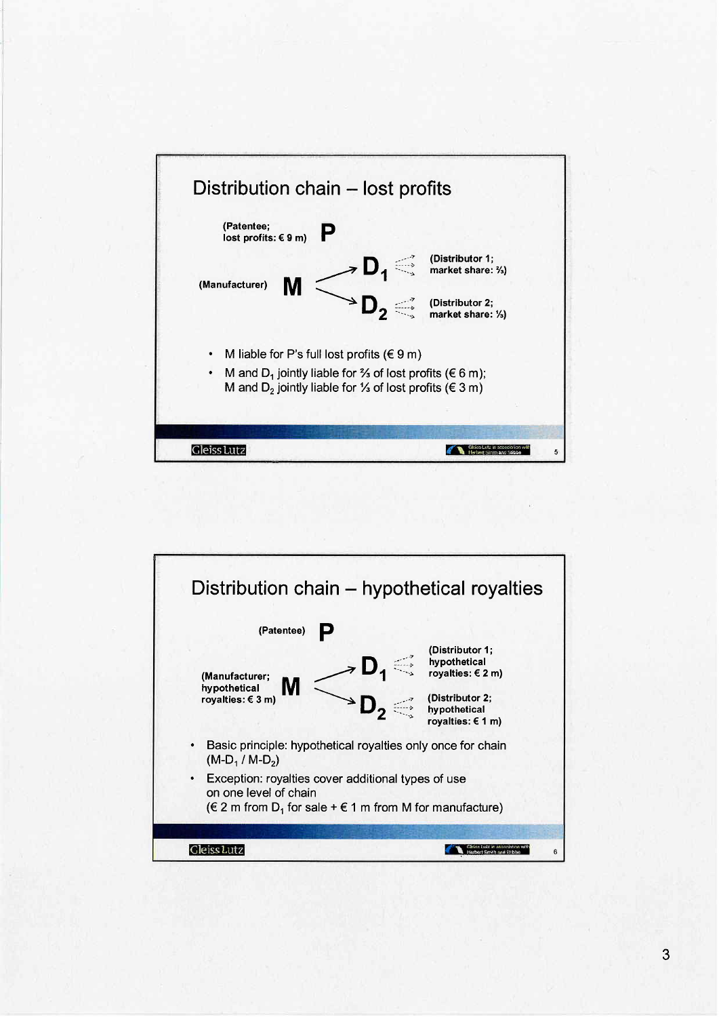

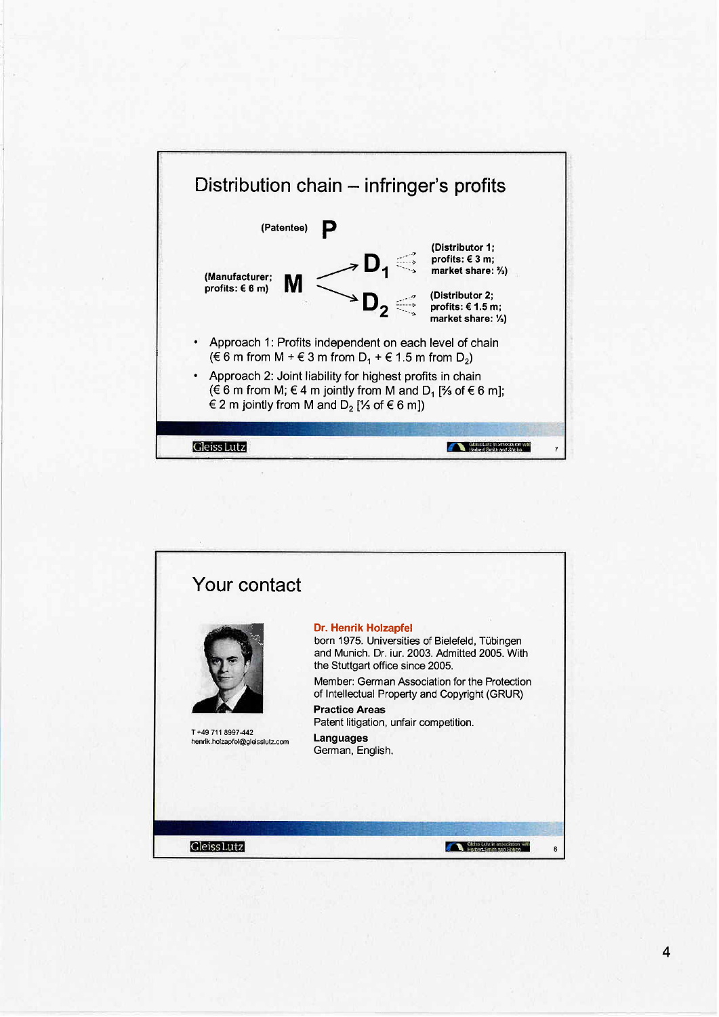